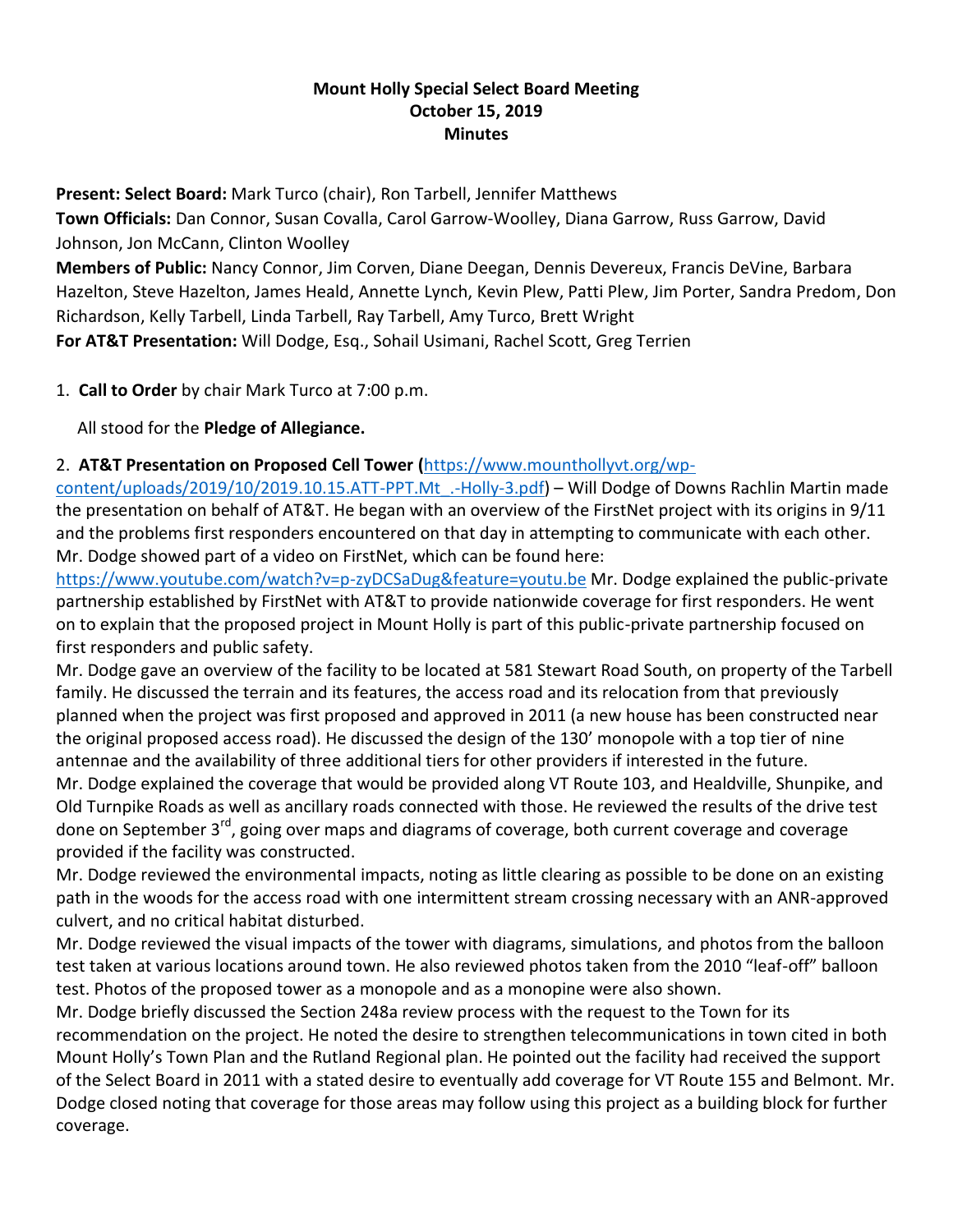## **Mount Holly Special Select Board Meeting October 15, 2019 Minutes**

**Present: Select Board:** Mark Turco (chair), Ron Tarbell, Jennifer Matthews **Town Officials:** Dan Connor, Susan Covalla, Carol Garrow-Woolley, Diana Garrow, Russ Garrow, David Johnson, Jon McCann, Clinton Woolley

**Members of Public:** Nancy Connor, Jim Corven, Diane Deegan, Dennis Devereux, Francis DeVine, Barbara Hazelton, Steve Hazelton, James Heald, Annette Lynch, Kevin Plew, Patti Plew, Jim Porter, Sandra Predom, Don Richardson, Kelly Tarbell, Linda Tarbell, Ray Tarbell, Amy Turco, Brett Wright **For AT&T Presentation:** Will Dodge, Esq., Sohail Usimani, Rachel Scott, Greg Terrien

1. **Call to Order** by chair Mark Turco at 7:00 p.m.

All stood for the **Pledge of Allegiance.**

## 2. **AT&T Presentation on Proposed Cell Tower (**[https://www.mounthollyvt.org/wp-](https://www.mounthollyvt.org/wp-content/uploads/2019/10/2019.10.15.ATT-PPT.Mt_.-Holly-3.pdf)

[content/uploads/2019/10/2019.10.15.ATT-PPT.Mt\\_.-Holly-3.pdf\)](https://www.mounthollyvt.org/wp-content/uploads/2019/10/2019.10.15.ATT-PPT.Mt_.-Holly-3.pdf) – Will Dodge of Downs Rachlin Martin made the presentation on behalf of AT&T. He began with an overview of the FirstNet project with its origins in 9/11 and the problems first responders encountered on that day in attempting to communicate with each other. Mr. Dodge showed part of a video on FirstNet, which can be found here:

<https://www.youtube.com/watch?v=p-zyDCSaDug&feature=youtu.be> Mr. Dodge explained the public-private partnership established by FirstNet with AT&T to provide nationwide coverage for first responders. He went on to explain that the proposed project in Mount Holly is part of this public-private partnership focused on first responders and public safety.

Mr. Dodge gave an overview of the facility to be located at 581 Stewart Road South, on property of the Tarbell family. He discussed the terrain and its features, the access road and its relocation from that previously planned when the project was first proposed and approved in 2011 (a new house has been constructed near the original proposed access road). He discussed the design of the 130' monopole with a top tier of nine antennae and the availability of three additional tiers for other providers if interested in the future. Mr. Dodge explained the coverage that would be provided along VT Route 103, and Healdville, Shunpike, and Old Turnpike Roads as well as ancillary roads connected with those. He reviewed the results of the drive test done on September 3<sup>rd</sup>, going over maps and diagrams of coverage, both current coverage and coverage provided if the facility was constructed.

Mr. Dodge reviewed the environmental impacts, noting as little clearing as possible to be done on an existing path in the woods for the access road with one intermittent stream crossing necessary with an ANR-approved culvert, and no critical habitat disturbed.

Mr. Dodge reviewed the visual impacts of the tower with diagrams, simulations, and photos from the balloon test taken at various locations around town. He also reviewed photos taken from the 2010 "leaf-off" balloon test. Photos of the proposed tower as a monopole and as a monopine were also shown.

Mr. Dodge briefly discussed the Section 248a review process with the request to the Town for its recommendation on the project. He noted the desire to strengthen telecommunications in town cited in both Mount Holly's Town Plan and the Rutland Regional plan. He pointed out the facility had received the support of the Select Board in 2011 with a stated desire to eventually add coverage for VT Route 155 and Belmont. Mr. Dodge closed noting that coverage for those areas may follow using this project as a building block for further coverage.